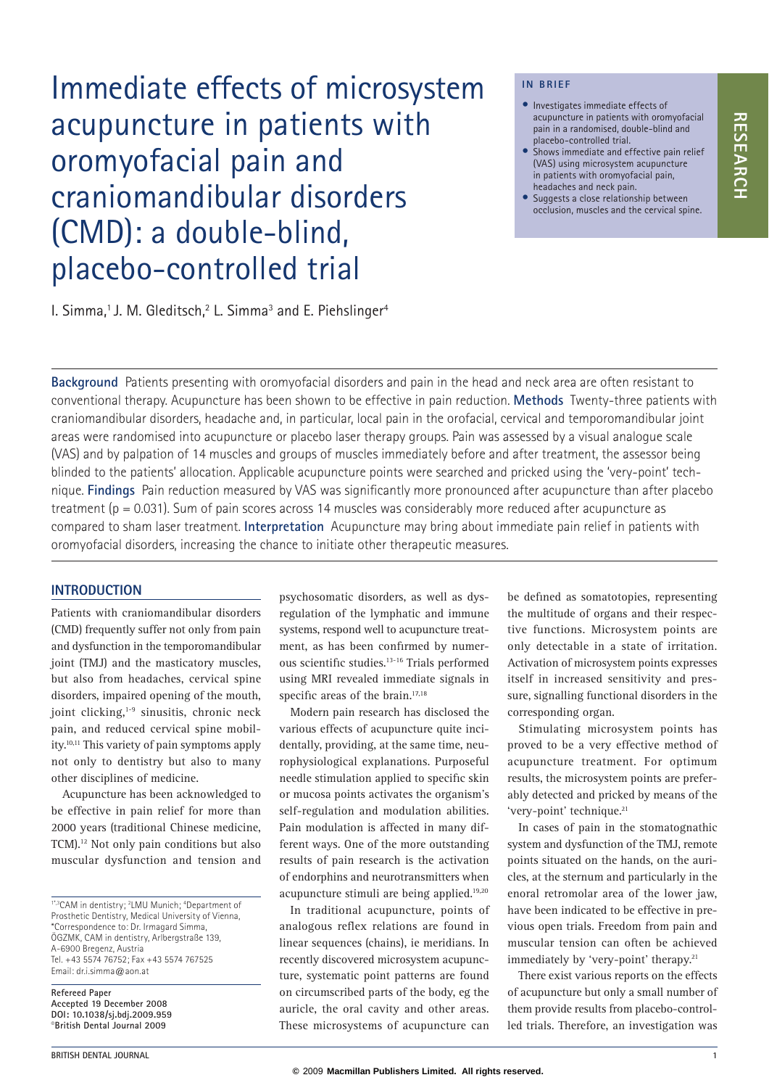Immediate effects of microsystem acupuncture in patients with oromyofacial pain and craniomandibular disorders (CMD): a double-blind, placebo-controlled trial

I. Simma,<sup>1</sup> J. M. Gleditsch,<sup>2</sup> L. Simma<sup>3</sup> and E. Piehslinger<sup>4</sup>

## **IN BRIEF**

- Investigates immediate effects of acupuncture in patients with oromyofacial pain in a randomised, double-blind and placebo-controlled trial.
- Shows immediate and effective pain relief (VAS) using microsystem acupuncture in patients with oromyofacial pain, headaches and neck pain.
- Suggests a close relationship between occlusion, muscles and the cervical spine.

**Background** Patients presenting with oromyofacial disorders and pain in the head and neck area are often resistant to conventional therapy. Acupuncture has been shown to be effective in pain reduction. **Methods** Twenty-three patients with craniomandibular disorders, headache and, in particular, local pain in the orofacial, cervical and temporomandibular joint areas were randomised into acupuncture or placebo laser therapy groups. Pain was assessed by a visual analogue scale (VAS) and by palpation of 14 muscles and groups of muscles immediately before and after treatment, the assessor being blinded to the patients' allocation. Applicable acupuncture points were searched and pricked using the 'very-point' technique. Findings Pain reduction measured by VAS was significantly more pronounced after acupuncture than after placebo treatment (p = 0.031). Sum of pain scores across 14 muscles was considerably more reduced after acupuncture as compared to sham laser treatment. **Interpretation** Acupuncture may bring about immediate pain relief in patients with oromyofacial disorders, increasing the chance to initiate other therapeutic measures.

## **INTRODUCTION**

Patients with craniomandibular disorders (CMD) frequently suffer not only from pain and dysfunction in the temporomandibular joint (TMJ) and the masticatory muscles, but also from headaches, cervical spine disorders, impaired opening of the mouth, joint clicking,<sup>1-9</sup> sinusitis, chronic neck pain, and reduced cervical spine mobility.10,11 This variety of pain symptoms apply not only to dentistry but also to many other disciplines of medicine.

Acupuncture has been acknowledged to be effective in pain relief for more than 2000 years (traditional Chinese medicine, TCM).12 Not only pain conditions but also muscular dysfunction and tension and

<sup>1\*,3</sup>CAM in dentistry; <sup>2</sup>LMU Munich; <sup>4</sup>Department of Prosthetic Dentistry, Medical University of Vienna, \*Correspondence to: Dr. Irmagard Simma, ÖGZMK, CAM in dentistry, Arlbergstraße 139, A-6900 Bregenz, Austria Tel. +43 5574 76752; Fax +43 5574 767525 Email: dr.i.simma@aon.at

**Refereed Paper Accepted 19 December 2008 DOI: 10.1038/sj.bdj.2009.959** ©**British Dental Journal 2009**

psychosomatic disorders, as well as dysregulation of the lymphatic and immune systems, respond well to acupuncture treatment, as has been confirmed by numerous scientific studies.<sup>13-16</sup> Trials performed using MRI revealed immediate signals in specific areas of the brain.<sup>17,18</sup>

Modern pain research has disclosed the various effects of acupuncture quite incidentally, providing, at the same time, neurophysiological explanations. Purposeful needle stimulation applied to specific skin or mucosa points activates the organism's self-regulation and modulation abilities. Pain modulation is affected in many different ways. One of the more outstanding results of pain research is the activation of endorphins and neurotransmitters when acupuncture stimuli are being applied.<sup>19,20</sup>

In traditional acupuncture, points of analogous reflex relations are found in linear sequences (chains), ie meridians. In recently discovered microsystem acupuncture, systematic point patterns are found on circumscribed parts of the body, eg the auricle, the oral cavity and other areas. These microsystems of acupuncture can

be defined as somatotopies, representing the multitude of organs and their respective functions. Microsystem points are only detectable in a state of irritation. Activation of microsystem points expresses itself in increased sensitivity and pressure, signalling functional disorders in the corresponding organ.

Stimulating microsystem points has proved to be a very effective method of acupuncture treatment. For optimum results, the microsystem points are preferably detected and pricked by means of the 'very-point' technique.<sup>21</sup>

In cases of pain in the stomatognathic system and dysfunction of the TMJ, remote points situated on the hands, on the auricles, at the sternum and particularly in the enoral retromolar area of the lower jaw, have been indicated to be effective in previous open trials. Freedom from pain and muscular tension can often be achieved immediately by 'very-point' therapy.<sup>21</sup>

There exist various reports on the effects of acupuncture but only a small number of them provide results from placebo-controlled trials. Therefore, an investigation was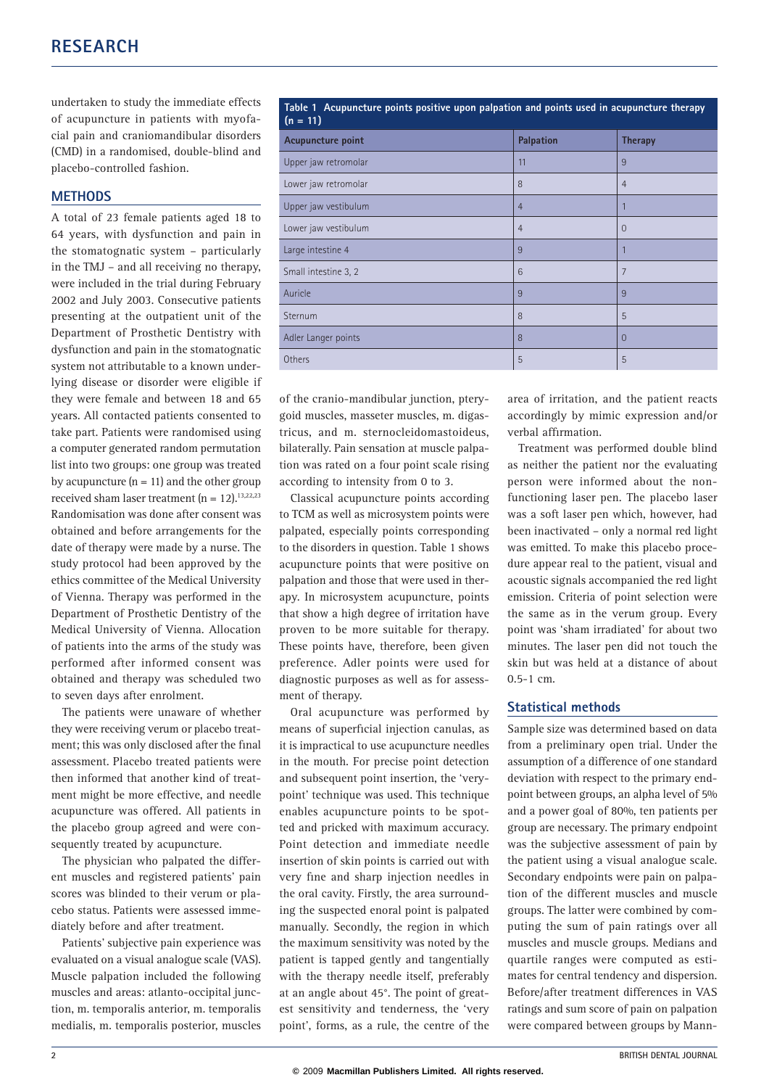undertaken to study the immediate effects of acupuncture in patients with myofacial pain and craniomandibular disorders (CMD) in a randomised, double-blind and placebo-controlled fashion.

### **METHODS**

A total of 23 female patients aged 18 to 64 years, with dysfunction and pain in the stomatognatic system – particularly in the TMJ – and all receiving no therapy, were included in the trial during February 2002 and July 2003. Consecutive patients presenting at the outpatient unit of the Department of Prosthetic Dentistry with dysfunction and pain in the stomatognatic system not attributable to a known underlying disease or disorder were eligible if they were female and between 18 and 65 years. All contacted patients consented to take part. Patients were randomised using a computer generated random permutation list into two groups: one group was treated by acupuncture  $(n = 11)$  and the other group received sham laser treatment  $(n = 12).$ <sup>13,22,23</sup> Randomisation was done after consent was obtained and before arrangements for the date of therapy were made by a nurse. The study protocol had been approved by the ethics committee of the Medical University of Vienna. Therapy was performed in the Department of Prosthetic Dentistry of the Medical University of Vienna. Allocation of patients into the arms of the study was performed after informed consent was obtained and therapy was scheduled two to seven days after enrolment.

The patients were unaware of whether they were receiving verum or placebo treatment: this was only disclosed after the final assessment. Placebo treated patients were then informed that another kind of treatment might be more effective, and needle acupuncture was offered. All patients in the placebo group agreed and were consequently treated by acupuncture.

The physician who palpated the different muscles and registered patients' pain scores was blinded to their verum or placebo status. Patients were assessed immediately before and after treatment.

Patients' subjective pain experience was evaluated on a visual analogue scale (VAS). Muscle palpation included the following muscles and areas: atlanto-occipital junction, m. temporalis anterior, m. temporalis medialis, m. temporalis posterior, muscles

 **Table 1 Acupuncture points positive upon palpation and points used in acupuncture therapy (n = 11)**

| Acupuncture point    | Palpation      | <b>Therapy</b> |
|----------------------|----------------|----------------|
| Upper jaw retromolar | 11             | 9              |
| Lower jaw retromolar | 8              | $\overline{4}$ |
| Upper jaw vestibulum | $\overline{4}$ |                |
| Lower jaw vestibulum | $\overline{4}$ | $\Omega$       |
| Large intestine 4    | 9              |                |
| Small intestine 3, 2 | 6              | $\overline{7}$ |
| Auricle              | 9              | 9              |
| Sternum              | 8              | 5              |
| Adler Langer points  | 8              | $\Omega$       |
| Others               | 5              | 5              |
|                      |                |                |

of the cranio-mandibular junction, pterygoid muscles, masseter muscles, m. digastricus, and m. sternocleidomastoideus, bilaterally. Pain sensation at muscle palpation was rated on a four point scale rising according to intensity from 0 to 3.

Classical acupuncture points according to TCM as well as microsystem points were palpated, especially points corresponding to the disorders in question. Table 1 shows acupuncture points that were positive on palpation and those that were used in therapy. In microsystem acupuncture, points that show a high degree of irritation have proven to be more suitable for therapy. These points have, therefore, been given preference. Adler points were used for diagnostic purposes as well as for assessment of therapy.

Oral acupuncture was performed by means of superficial injection canulas, as it is impractical to use acupuncture needles in the mouth. For precise point detection and subsequent point insertion, the 'verypoint' technique was used. This technique enables acupuncture points to be spotted and pricked with maximum accuracy. Point detection and immediate needle insertion of skin points is carried out with very fine and sharp injection needles in the oral cavity. Firstly, the area surrounding the suspected enoral point is palpated manually. Secondly, the region in which the maximum sensitivity was noted by the patient is tapped gently and tangentially with the therapy needle itself, preferably at an angle about 45°. The point of greatest sensitivity and tenderness, the 'very point', forms, as a rule, the centre of the

area of irritation, and the patient reacts accordingly by mimic expression and/or verbal affirmation.

Treatment was performed double blind as neither the patient nor the evaluating person were informed about the nonfunctioning laser pen. The placebo laser was a soft laser pen which, however, had been inactivated – only a normal red light was emitted. To make this placebo procedure appear real to the patient, visual and acoustic signals accompanied the red light emission. Criteria of point selection were the same as in the verum group. Every point was 'sham irradiated' for about two minutes. The laser pen did not touch the skin but was held at a distance of about 0.5-1 cm.

#### **Statistical methods**

Sample size was determined based on data from a preliminary open trial. Under the assumption of a difference of one standard deviation with respect to the primary endpoint between groups, an alpha level of 5% and a power goal of 80%, ten patients per group are necessary. The primary endpoint was the subjective assessment of pain by the patient using a visual analogue scale. Secondary endpoints were pain on palpation of the different muscles and muscle groups. The latter were combined by computing the sum of pain ratings over all muscles and muscle groups. Medians and quartile ranges were computed as estimates for central tendency and dispersion. Before/after treatment differences in VAS ratings and sum score of pain on palpation were compared between groups by Mann-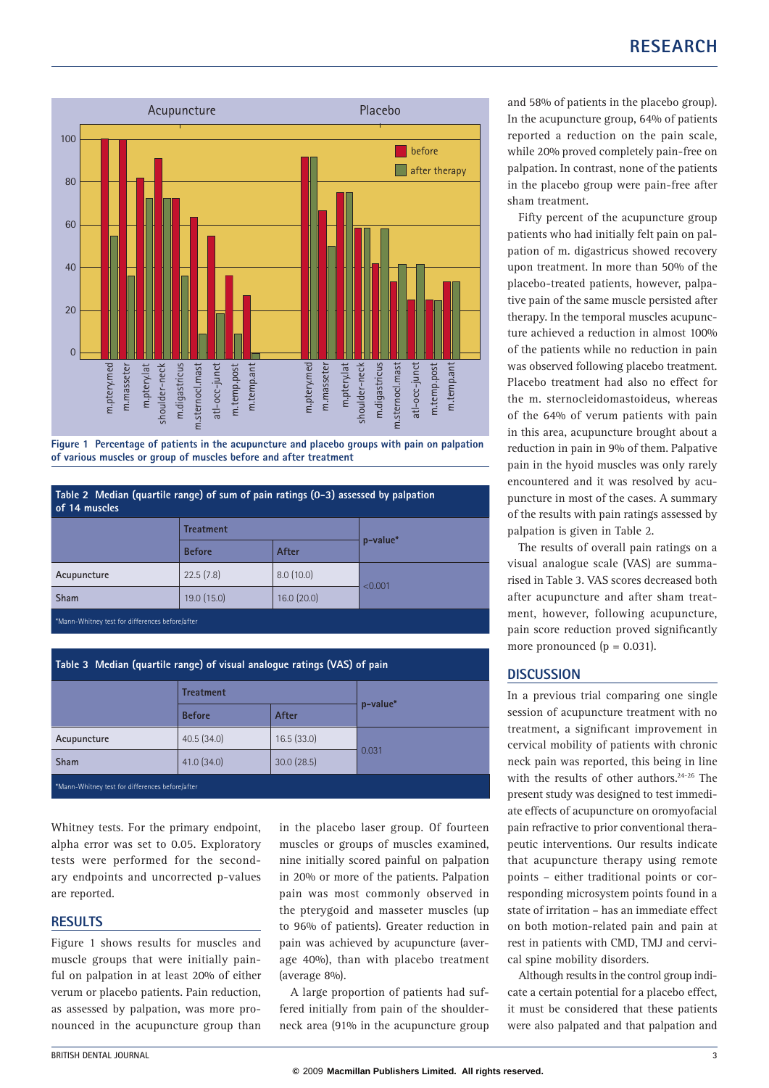# **RESEARCH**



**Figure 1 Percentage of patients in the acupuncture and placebo groups with pain on palpation of various muscles or group of muscles before and after treatment** 

| Table 2 Median (quartile range) of sum of pain ratings (0-3) assessed by palpation<br>of 14 muscles |               |            |          |  |  |
|-----------------------------------------------------------------------------------------------------|---------------|------------|----------|--|--|
|                                                                                                     | Treatment     |            |          |  |  |
|                                                                                                     | <b>Before</b> | After      | p-value* |  |  |
| Acupuncture                                                                                         | 22.5(7.8)     | 8.0(10.0)  | < 0.001  |  |  |
| Sham                                                                                                | 19.0(15.0)    | 16.0(20.0) |          |  |  |
| *Mann-Whitney test for differences before/after                                                     |               |            |          |  |  |

**Table 3 Median (quartile range) of visual analogue ratings (VAS) of pain**

| <b>Treatment</b>                                |               |            |          |  |  |
|-------------------------------------------------|---------------|------------|----------|--|--|
|                                                 | <b>Before</b> | After      | p-value* |  |  |
| Acupuncture                                     | 40.5(34.0)    | 16.5(33.0) |          |  |  |
| <b>Sham</b>                                     | 41.0(34.0)    | 30.0(28.5) | 0.031    |  |  |
| *Mann-Whitney test for differences before/after |               |            |          |  |  |

Whitney tests. For the primary endpoint, alpha error was set to 0.05. Exploratory tests were performed for the secondary endpoints and uncorrected p-values are reported.

#### **RESULTS**

Figure 1 shows results for muscles and muscle groups that were initially painful on palpation in at least 20% of either verum or placebo patients. Pain reduction, as assessed by palpation, was more pronounced in the acupuncture group than

in the placebo laser group. Of fourteen muscles or groups of muscles examined, nine initially scored painful on palpation in 20% or more of the patients. Palpation pain was most commonly observed in the pterygoid and masseter muscles (up to 96% of patients). Greater reduction in pain was achieved by acupuncture (average 40%), than with placebo treatment (average 8%).

A large proportion of patients had suffered initially from pain of the shoulderneck area (91% in the acupuncture group and 58% of patients in the placebo group). In the acupuncture group, 64% of patients reported a reduction on the pain scale, while 20% proved completely pain-free on palpation. In contrast, none of the patients in the placebo group were pain-free after sham treatment.

Fifty percent of the acupuncture group patients who had initially felt pain on palpation of m. digastricus showed recovery upon treatment. In more than 50% of the placebo-treated patients, however, palpative pain of the same muscle persisted after therapy. In the temporal muscles acupuncture achieved a reduction in almost 100% of the patients while no reduction in pain was observed following placebo treatment. Placebo treatment had also no effect for the m. sternocleidomastoideus, whereas of the 64% of verum patients with pain in this area, acupuncture brought about a reduction in pain in 9% of them. Palpative pain in the hyoid muscles was only rarely encountered and it was resolved by acupuncture in most of the cases. A summary of the results with pain ratings assessed by palpation is given in Table 2.

The results of overall pain ratings on a visual analogue scale (VAS) are summarised in Table 3. VAS scores decreased both after acupuncture and after sham treatment, however, following acupuncture, pain score reduction proved significantly more pronounced  $(p = 0.031)$ .

## **DISCUSSION**

In a previous trial comparing one single session of acupuncture treatment with no treatment, a significant improvement in cervical mobility of patients with chronic neck pain was reported, this being in line with the results of other authors.<sup>24-26</sup> The present study was designed to test immediate effects of acupuncture on oromyofacial pain refractive to prior conventional therapeutic interventions. Our results indicate that acupuncture therapy using remote points – either traditional points or corresponding microsystem points found in a state of irritation – has an immediate effect on both motion-related pain and pain at rest in patients with CMD, TMJ and cervical spine mobility disorders.

Although results in the control group indicate a certain potential for a placebo effect, it must be considered that these patients were also palpated and that palpation and